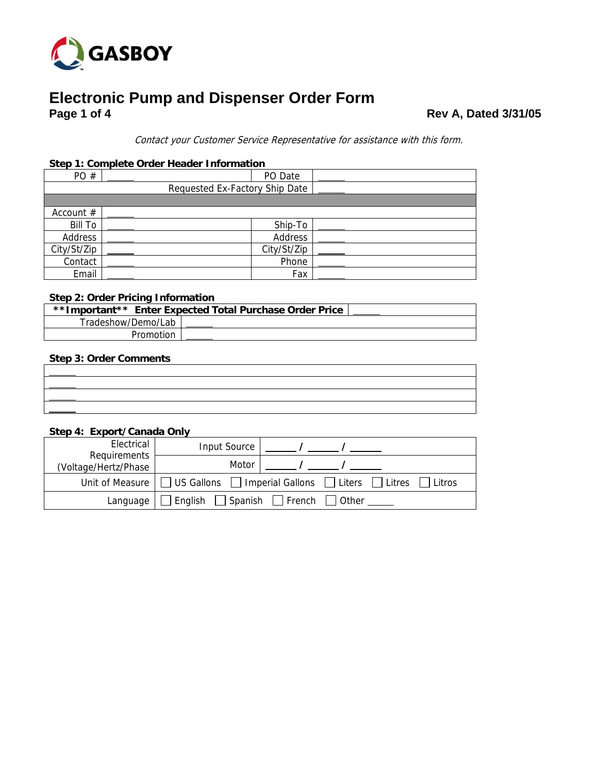

# **Electronic Pump and Dispenser Order Form Page 1 of 4**

**Page 1 of 4 Rev A, Dated 3/31/05** 

Contact your Customer Service Representative for assistance with this form.

#### **Step 1: Complete Order Header Information**

| PO#                            | PO Date     |  |  |  |  |  |
|--------------------------------|-------------|--|--|--|--|--|
| Requested Ex-Factory Ship Date |             |  |  |  |  |  |
|                                |             |  |  |  |  |  |
| Account $#$                    |             |  |  |  |  |  |
| <b>Bill To</b>                 | Ship-To     |  |  |  |  |  |
| Address                        | Address     |  |  |  |  |  |
| City/St/Zip                    | City/St/Zip |  |  |  |  |  |
| Contact                        | Phone       |  |  |  |  |  |
| Email                          | Fax         |  |  |  |  |  |

### **Step 2: Order Pricing Information**

|                    | **Important** Enter Expected Total Purchase Order Price |  |
|--------------------|---------------------------------------------------------|--|
| Tradeshow/Demo/Lab |                                                         |  |
| Promotion          |                                                         |  |

#### **Step 3: Order Comments**

#### **Step 4: Export/Canada Only**

| Electrical<br>Requirements | Input Source                                                                                        |  |  |
|----------------------------|-----------------------------------------------------------------------------------------------------|--|--|
| Voltage/Hertz/Phase)       | Motor                                                                                               |  |  |
|                            | Unit of Measure $\Box$ US Gallons $\Box$ Imperial Gallons $\Box$ Liters $\Box$ Litres $\Box$ Litros |  |  |
| Language l                 | $\Box$ English $\Box$ Spanish $\Box$ French $\Box$ Other                                            |  |  |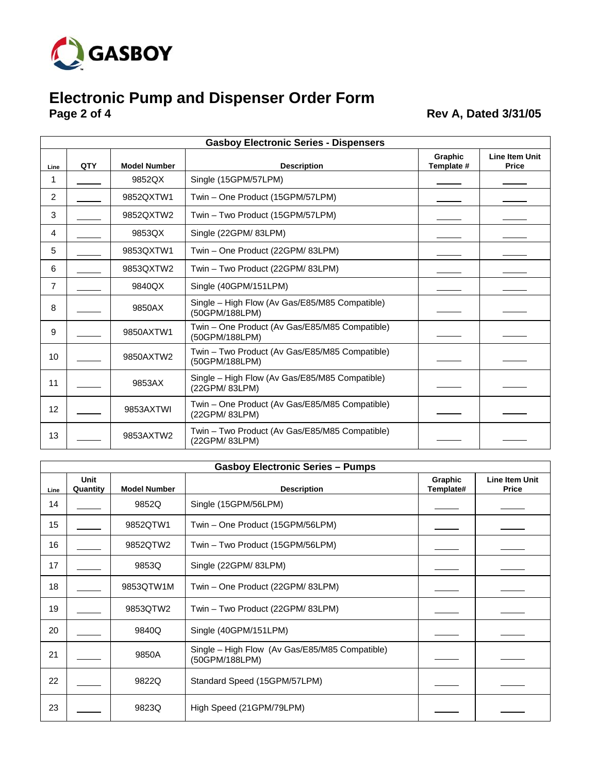

## **Electronic Pump and Dispenser Order Form Page 2 of 4 Rev A, Dated 3/31/05**

|                 |     |                     | <b>Gasboy Electronic Series - Dispensers</b>                     |                       |                                       |
|-----------------|-----|---------------------|------------------------------------------------------------------|-----------------------|---------------------------------------|
| Line            | QTY | <b>Model Number</b> | <b>Description</b>                                               | Graphic<br>Template # | <b>Line Item Unit</b><br><b>Price</b> |
| 1               |     | 9852QX              | Single (15GPM/57LPM)                                             |                       |                                       |
| $\overline{2}$  |     | 9852QXTW1           | Twin - One Product (15GPM/57LPM)                                 |                       |                                       |
| 3               |     | 9852QXTW2           | Twin - Two Product (15GPM/57LPM)                                 |                       |                                       |
| 4               |     | 9853QX              | Single (22GPM/83LPM)                                             |                       |                                       |
| 5               |     | 9853QXTW1           | Twin - One Product (22GPM/83LPM)                                 |                       |                                       |
| 6               |     | 9853QXTW2           | Twin - Two Product (22GPM/83LPM)                                 |                       |                                       |
| 7               |     | 9840QX              | Single (40GPM/151LPM)                                            |                       |                                       |
| 8               |     | 9850AX              | Single - High Flow (Av Gas/E85/M85 Compatible)<br>(50GPM/188LPM) |                       |                                       |
| 9               |     | 9850AXTW1           | Twin - One Product (Av Gas/E85/M85 Compatible)<br>(50GPM/188LPM) |                       |                                       |
| 10              |     | 9850AXTW2           | Twin - Two Product (Av Gas/E85/M85 Compatible)<br>(50GPM/188LPM) |                       |                                       |
| 11              |     | 9853AX              | Single - High Flow (Av Gas/E85/M85 Compatible)<br>(22GPM/83LPM)  |                       |                                       |
| 12 <sub>2</sub> |     | 9853AXTWI           | Twin – One Product (Av Gas/E85/M85 Compatible)<br>(22GPM/83LPM)  |                       |                                       |
| 13              |     | 9853AXTW2           | Twin - Two Product (Av Gas/E85/M85 Compatible)<br>(22GPM/83LPM)  |                       |                                       |

|      | <b>Gasboy Electronic Series - Pumps</b> |                     |                                                                  |                      |                                       |  |  |  |
|------|-----------------------------------------|---------------------|------------------------------------------------------------------|----------------------|---------------------------------------|--|--|--|
| Line | <b>Unit</b><br>Quantity                 | <b>Model Number</b> | <b>Description</b>                                               | Graphic<br>Template# | <b>Line Item Unit</b><br><b>Price</b> |  |  |  |
| 14   |                                         | 9852Q               | Single (15GPM/56LPM)                                             |                      |                                       |  |  |  |
| 15   |                                         | 9852QTW1            | Twin - One Product (15GPM/56LPM)                                 |                      |                                       |  |  |  |
| 16   |                                         | 9852QTW2            | Twin - Two Product (15GPM/56LPM)                                 |                      |                                       |  |  |  |
| 17   |                                         | 9853Q               | Single (22GPM/83LPM)                                             |                      |                                       |  |  |  |
| 18   |                                         | 9853QTW1M           | Twin - One Product (22GPM/83LPM)                                 |                      |                                       |  |  |  |
| 19   |                                         | 9853QTW2            | Twin - Two Product (22GPM/83LPM)                                 |                      |                                       |  |  |  |
| 20   |                                         | 9840Q               | Single (40GPM/151LPM)                                            |                      |                                       |  |  |  |
| 21   |                                         | 9850A               | Single – High Flow (Av Gas/E85/M85 Compatible)<br>(50GPM/188LPM) |                      |                                       |  |  |  |
| 22   |                                         | 9822Q               | Standard Speed (15GPM/57LPM)                                     |                      |                                       |  |  |  |
| 23   |                                         | 9823Q               | High Speed (21GPM/79LPM)                                         |                      |                                       |  |  |  |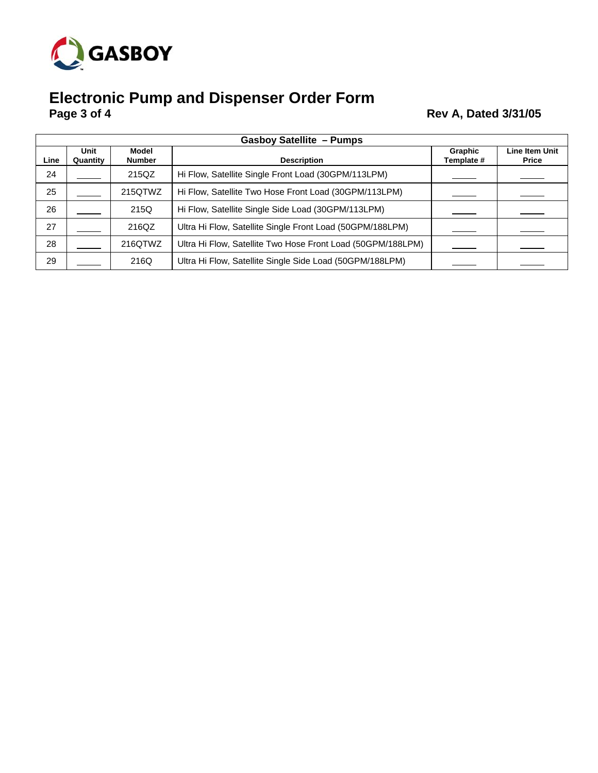

# **Electronic Pump and Dispenser Order Form Page 3 of 4 Rev A, Dated 3/31/05**

|      | <b>Gasboy Satellite - Pumps</b> |                               |                                                             |                       |                                       |  |  |
|------|---------------------------------|-------------------------------|-------------------------------------------------------------|-----------------------|---------------------------------------|--|--|
| Line | Unit<br>Quantity                | <b>Model</b><br><b>Number</b> | <b>Description</b>                                          | Graphic<br>Template # | <b>Line Item Unit</b><br><b>Price</b> |  |  |
| 24   |                                 | 215QZ                         | Hi Flow, Satellite Single Front Load (30GPM/113LPM)         |                       |                                       |  |  |
| 25   |                                 | 215QTWZ                       | Hi Flow, Satellite Two Hose Front Load (30GPM/113LPM)       |                       |                                       |  |  |
| 26   |                                 | 215Q                          | Hi Flow, Satellite Single Side Load (30GPM/113LPM)          |                       |                                       |  |  |
| 27   |                                 | 216QZ                         | Ultra Hi Flow, Satellite Single Front Load (50GPM/188LPM)   |                       |                                       |  |  |
| 28   |                                 | 216QTWZ                       | Ultra Hi Flow, Satellite Two Hose Front Load (50GPM/188LPM) |                       |                                       |  |  |
| 29   |                                 | 216Q                          | Ultra Hi Flow, Satellite Single Side Load (50GPM/188LPM)    |                       |                                       |  |  |